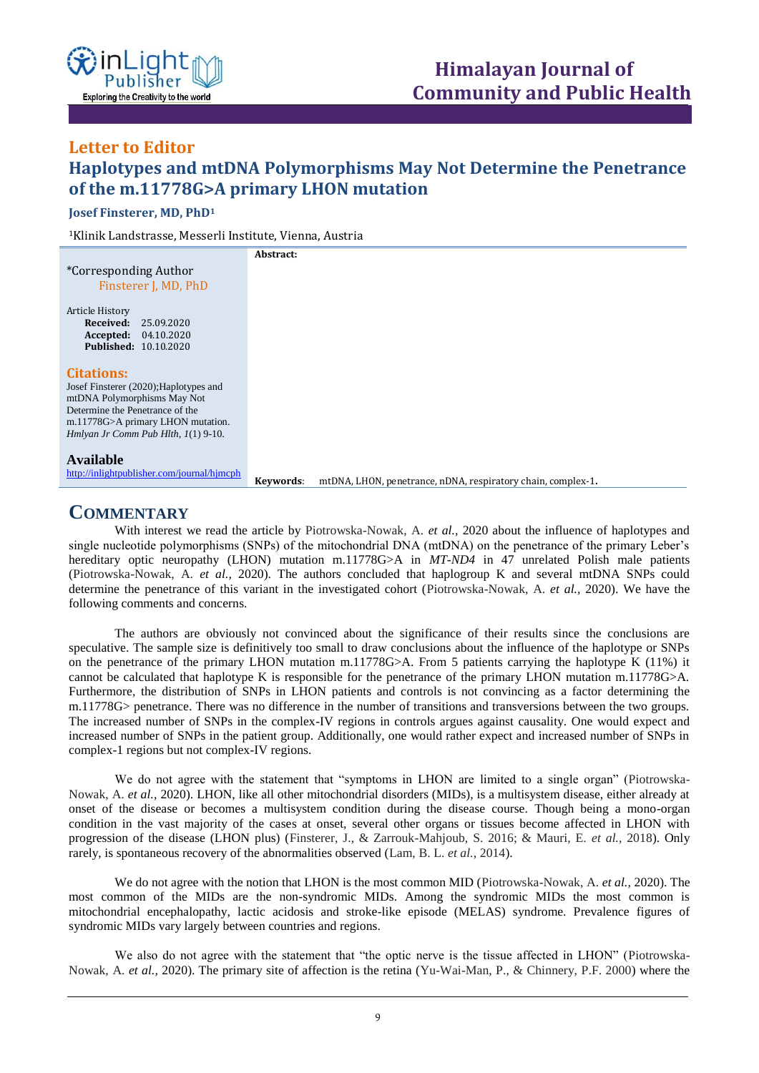

## **Letter to Editor Haplotypes and mtDNA Polymorphisms May Not Determine the Penetrance of the m.11778G>A primary LHON mutation ISSN: XXXX-XXXX Open Access**

**Josef Finsterer, MD, PhD<sup>1</sup>**

<sup>1</sup>Klinik Landstrasse, Messerli Institute, Vienna, Austria

|                                            | Abstract:                                                                 |
|--------------------------------------------|---------------------------------------------------------------------------|
| <i>*Corresponding Author</i>               |                                                                           |
| Finsterer J, MD, PhD                       |                                                                           |
| Article History                            |                                                                           |
| Received:<br>25.09.2020                    |                                                                           |
| <b>Accepted:</b> 04.10.2020                |                                                                           |
| <b>Published: 10.10.2020</b>               |                                                                           |
|                                            |                                                                           |
| <b>Citations:</b>                          |                                                                           |
| Josef Finsterer (2020); Haplotypes and     |                                                                           |
| mtDNA Polymorphisms May Not                |                                                                           |
| Determine the Penetrance of the            |                                                                           |
| m.11778G>A primary LHON mutation.          |                                                                           |
| Hmlyan Jr Comm Pub Hlth, 1(1) 9-10.        |                                                                           |
|                                            |                                                                           |
| <b>Available</b>                           |                                                                           |
| http://inlightpublisher.com/journal/hjmcph | mtDNA, LHON, penetrance, nDNA, respiratory chain, complex-1.<br>Keywords: |

## **COMMENTARY**

With interest we read the article by Piotrowska-Nowak, A. *et al.,* 2020 about the influence of haplotypes and single nucleotide polymorphisms (SNPs) of the mitochondrial DNA (mtDNA) on the penetrance of the primary Leber's hereditary optic neuropathy (LHON) mutation m.11778G>A in *MT-ND4* in 47 unrelated Polish male patients (Piotrowska-Nowak, A. *et al.,* 2020). The authors concluded that haplogroup K and several mtDNA SNPs could determine the penetrance of this variant in the investigated cohort (Piotrowska-Nowak, A. *et al.,* 2020). We have the following comments and concerns.

The authors are obviously not convinced about the significance of their results since the conclusions are speculative. The sample size is definitively too small to draw conclusions about the influence of the haplotype or SNPs on the penetrance of the primary LHON mutation m.11778G>A. From 5 patients carrying the haplotype K (11%) it cannot be calculated that haplotype K is responsible for the penetrance of the primary LHON mutation m.11778G>A. Furthermore, the distribution of SNPs in LHON patients and controls is not convincing as a factor determining the m.11778G> penetrance. There was no difference in the number of transitions and transversions between the two groups. The increased number of SNPs in the complex-IV regions in controls argues against causality. One would expect and increased number of SNPs in the patient group. Additionally, one would rather expect and increased number of SNPs in complex-1 regions but not complex-IV regions.

We do not agree with the statement that "symptoms in LHON are limited to a single organ" (Piotrowska-Nowak, A. *et al.,* 2020). LHON, like all other mitochondrial disorders (MIDs), is a multisystem disease, either already at onset of the disease or becomes a multisystem condition during the disease course. Though being a mono-organ condition in the vast majority of the cases at onset, several other organs or tissues become affected in LHON with progression of the disease (LHON plus) (Finsterer, J., & Zarrouk-Mahjoub, S. 2016; & Mauri, E. *et al.,* 2018). Only rarely, is spontaneous recovery of the abnormalities observed (Lam, B. L. *et al.,* 2014).

We do not agree with the notion that LHON is the most common MID (Piotrowska-Nowak, A. *et al.,* 2020). The most common of the MIDs are the non-syndromic MIDs. Among the syndromic MIDs the most common is mitochondrial encephalopathy, lactic acidosis and stroke-like episode (MELAS) syndrome. Prevalence figures of syndromic MIDs vary largely between countries and regions.

We also do not agree with the statement that "the optic nerve is the tissue affected in LHON" (Piotrowska-Nowak, A. *et al.,* 2020). The primary site of affection is the retina (Yu-Wai-Man, P., & Chinnery, P.F. 2000) where the